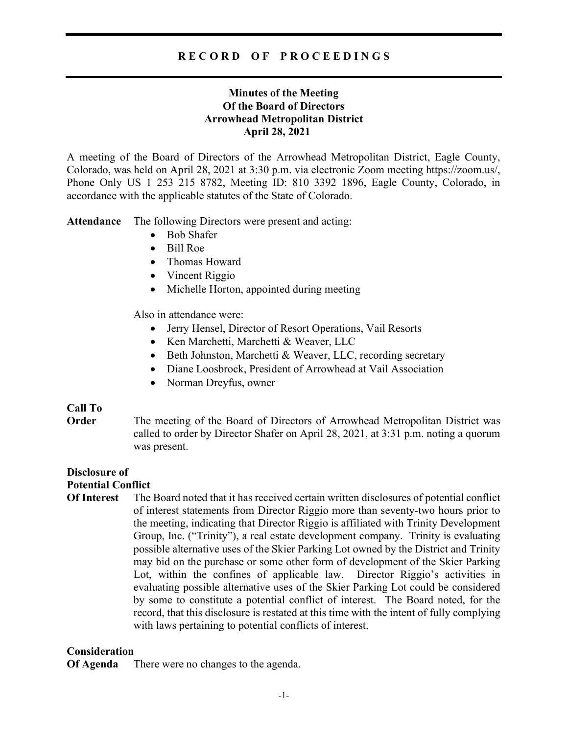# R E C O R D O F P R O C E E D I N G S

# Minutes of the Meeting Of the Board of Directors Arrowhead Metropolitan District April 28, 2021

A meeting of the Board of Directors of the Arrowhead Metropolitan District, Eagle County, Colorado, was held on April 28, 2021 at 3:30 p.m. via electronic Zoom meeting https://zoom.us/, Phone Only US 1 253 215 8782, Meeting ID: 810 3392 1896, Eagle County, Colorado, in accordance with the applicable statutes of the State of Colorado.

Attendance The following Directors were present and acting:

- Bob Shafer
- Bill Roe
- Thomas Howard
- Vincent Riggio
- Michelle Horton, appointed during meeting

Also in attendance were:

- Jerry Hensel, Director of Resort Operations, Vail Resorts
- Ken Marchetti, Marchetti & Weaver, LLC
- Beth Johnston, Marchetti & Weaver, LLC, recording secretary
- Diane Loosbrock, President of Arrowhead at Vail Association
- Norman Dreyfus, owner

## Call To

**Order** The meeting of the Board of Directors of Arrowhead Metropolitan District was called to order by Director Shafer on April 28, 2021, at 3:31 p.m. noting a quorum was present.

# Disclosure of

# Potential Conflict

Of Interest The Board noted that it has received certain written disclosures of potential conflict of interest statements from Director Riggio more than seventy-two hours prior to the meeting, indicating that Director Riggio is affiliated with Trinity Development Group, Inc. ("Trinity"), a real estate development company. Trinity is evaluating possible alternative uses of the Skier Parking Lot owned by the District and Trinity may bid on the purchase or some other form of development of the Skier Parking Lot, within the confines of applicable law. Director Riggio's activities in evaluating possible alternative uses of the Skier Parking Lot could be considered by some to constitute a potential conflict of interest. The Board noted, for the record, that this disclosure is restated at this time with the intent of fully complying with laws pertaining to potential conflicts of interest.

## Consideration

Of Agenda There were no changes to the agenda.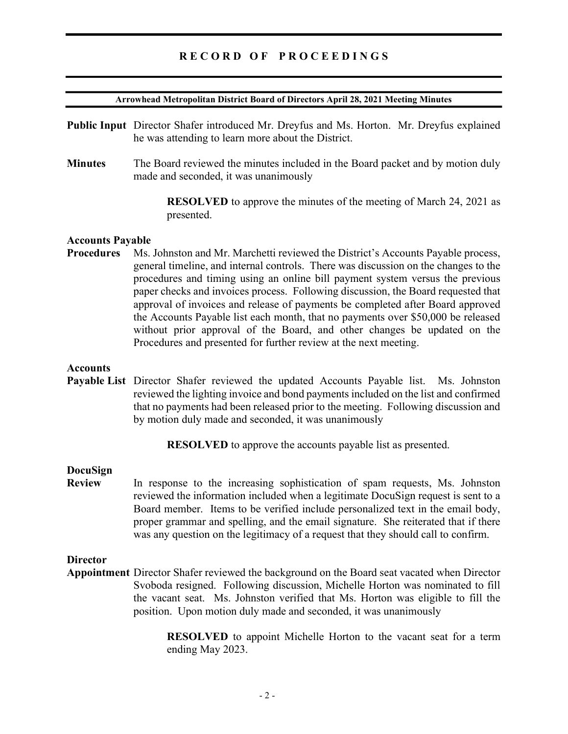## RECORD OF PROCEEDINGS

#### Arrowhead Metropolitan District Board of Directors April 28, 2021 Meeting Minutes

- Public Input Director Shafer introduced Mr. Dreyfus and Ms. Horton. Mr. Dreyfus explained he was attending to learn more about the District.
- Minutes The Board reviewed the minutes included in the Board packet and by motion duly made and seconded, it was unanimously

 RESOLVED to approve the minutes of the meeting of March 24, 2021 as presented.

### Accounts Payable

Procedures Ms. Johnston and Mr. Marchetti reviewed the District's Accounts Payable process, general timeline, and internal controls. There was discussion on the changes to the procedures and timing using an online bill payment system versus the previous paper checks and invoices process. Following discussion, the Board requested that approval of invoices and release of payments be completed after Board approved the Accounts Payable list each month, that no payments over \$50,000 be released without prior approval of the Board, and other changes be updated on the Procedures and presented for further review at the next meeting.

### **Accounts**

Payable List Director Shafer reviewed the updated Accounts Payable list. Ms. Johnston reviewed the lighting invoice and bond payments included on the list and confirmed that no payments had been released prior to the meeting. Following discussion and by motion duly made and seconded, it was unanimously

RESOLVED to approve the accounts payable list as presented.

#### DocuSign

Review In response to the increasing sophistication of spam requests, Ms. Johnston reviewed the information included when a legitimate DocuSign request is sent to a Board member. Items to be verified include personalized text in the email body, proper grammar and spelling, and the email signature. She reiterated that if there was any question on the legitimacy of a request that they should call to confirm.

### **Director**

Appointment Director Shafer reviewed the background on the Board seat vacated when Director Svoboda resigned. Following discussion, Michelle Horton was nominated to fill the vacant seat. Ms. Johnston verified that Ms. Horton was eligible to fill the position. Upon motion duly made and seconded, it was unanimously

> RESOLVED to appoint Michelle Horton to the vacant seat for a term ending May 2023.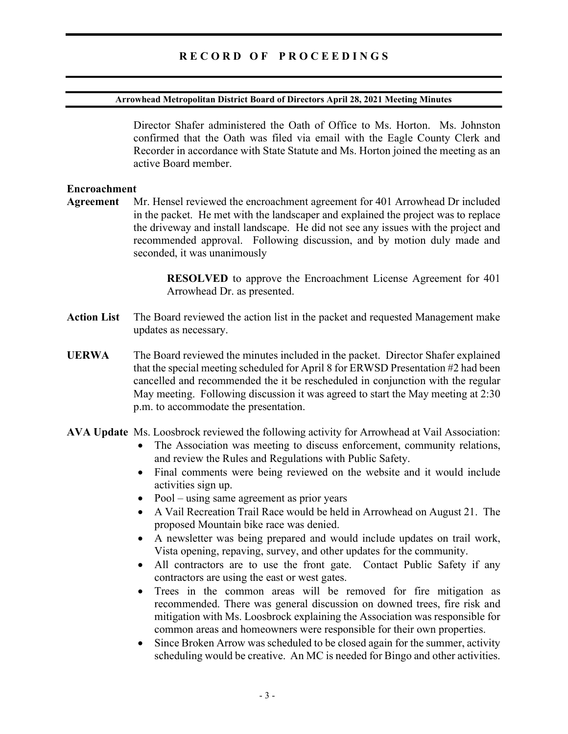### Arrowhead Metropolitan District Board of Directors April 28, 2021 Meeting Minutes

 Director Shafer administered the Oath of Office to Ms. Horton. Ms. Johnston confirmed that the Oath was filed via email with the Eagle County Clerk and Recorder in accordance with State Statute and Ms. Horton joined the meeting as an active Board member.

### Encroachment

Agreement Mr. Hensel reviewed the encroachment agreement for 401 Arrowhead Dr included in the packet. He met with the landscaper and explained the project was to replace the driveway and install landscape. He did not see any issues with the project and recommended approval. Following discussion, and by motion duly made and seconded, it was unanimously

> RESOLVED to approve the Encroachment License Agreement for 401 Arrowhead Dr. as presented.

- Action List The Board reviewed the action list in the packet and requested Management make updates as necessary.
- UERWA The Board reviewed the minutes included in the packet. Director Shafer explained that the special meeting scheduled for April 8 for ERWSD Presentation #2 had been cancelled and recommended the it be rescheduled in conjunction with the regular May meeting. Following discussion it was agreed to start the May meeting at 2:30 p.m. to accommodate the presentation.
- AVA Update Ms. Loosbrock reviewed the following activity for Arrowhead at Vail Association:
	- The Association was meeting to discuss enforcement, community relations, and review the Rules and Regulations with Public Safety.
	- Final comments were being reviewed on the website and it would include activities sign up.
	- Pool using same agreement as prior years
	- A Vail Recreation Trail Race would be held in Arrowhead on August 21. The proposed Mountain bike race was denied.
	- A newsletter was being prepared and would include updates on trail work, Vista opening, repaving, survey, and other updates for the community.
	- All contractors are to use the front gate. Contact Public Safety if any contractors are using the east or west gates.
	- Trees in the common areas will be removed for fire mitigation as recommended. There was general discussion on downed trees, fire risk and mitigation with Ms. Loosbrock explaining the Association was responsible for common areas and homeowners were responsible for their own properties.
	- Since Broken Arrow was scheduled to be closed again for the summer, activity scheduling would be creative. An MC is needed for Bingo and other activities.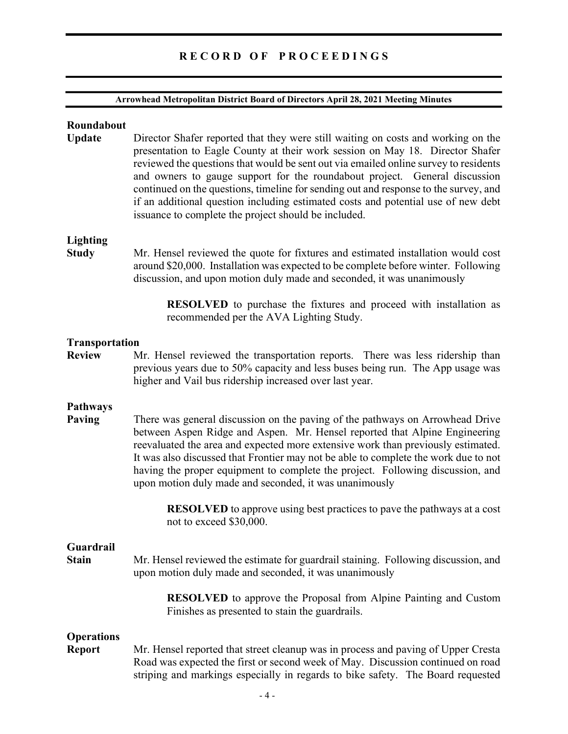# R E C O R D O F P R O C E E D I N G S

### Arrowhead Metropolitan District Board of Directors April 28, 2021 Meeting Minutes

# Roundabout Update Director Shafer reported that they were still waiting on costs and working on the presentation to Eagle County at their work session on May 18. Director Shafer reviewed the questions that would be sent out via emailed online survey to residents and owners to gauge support for the roundabout project. General discussion continued on the questions, timeline for sending out and response to the survey, and if an additional question including estimated costs and potential use of new debt issuance to complete the project should be included. Lighting Study Mr. Hensel reviewed the quote for fixtures and estimated installation would cost around \$20,000. Installation was expected to be complete before winter. Following discussion, and upon motion duly made and seconded, it was unanimously RESOLVED to purchase the fixtures and proceed with installation as recommended per the AVA Lighting Study. Transportation Review Mr. Hensel reviewed the transportation reports. There was less ridership than previous years due to 50% capacity and less buses being run. The App usage was higher and Vail bus ridership increased over last year. Pathways Paving There was general discussion on the paving of the pathways on Arrowhead Drive between Aspen Ridge and Aspen. Mr. Hensel reported that Alpine Engineering reevaluated the area and expected more extensive work than previously estimated. It was also discussed that Frontier may not be able to complete the work due to not having the proper equipment to complete the project. Following discussion, and upon motion duly made and seconded, it was unanimously RESOLVED to approve using best practices to pave the pathways at a cost not to exceed \$30,000. Guardrail Stain Mr. Hensel reviewed the estimate for guardrail staining. Following discussion, and upon motion duly made and seconded, it was unanimously RESOLVED to approve the Proposal from Alpine Painting and Custom Finishes as presented to stain the guardrails. **Operations** Report Mr. Hensel reported that street cleanup was in process and paving of Upper Cresta Road was expected the first or second week of May. Discussion continued on road striping and markings especially in regards to bike safety. The Board requested